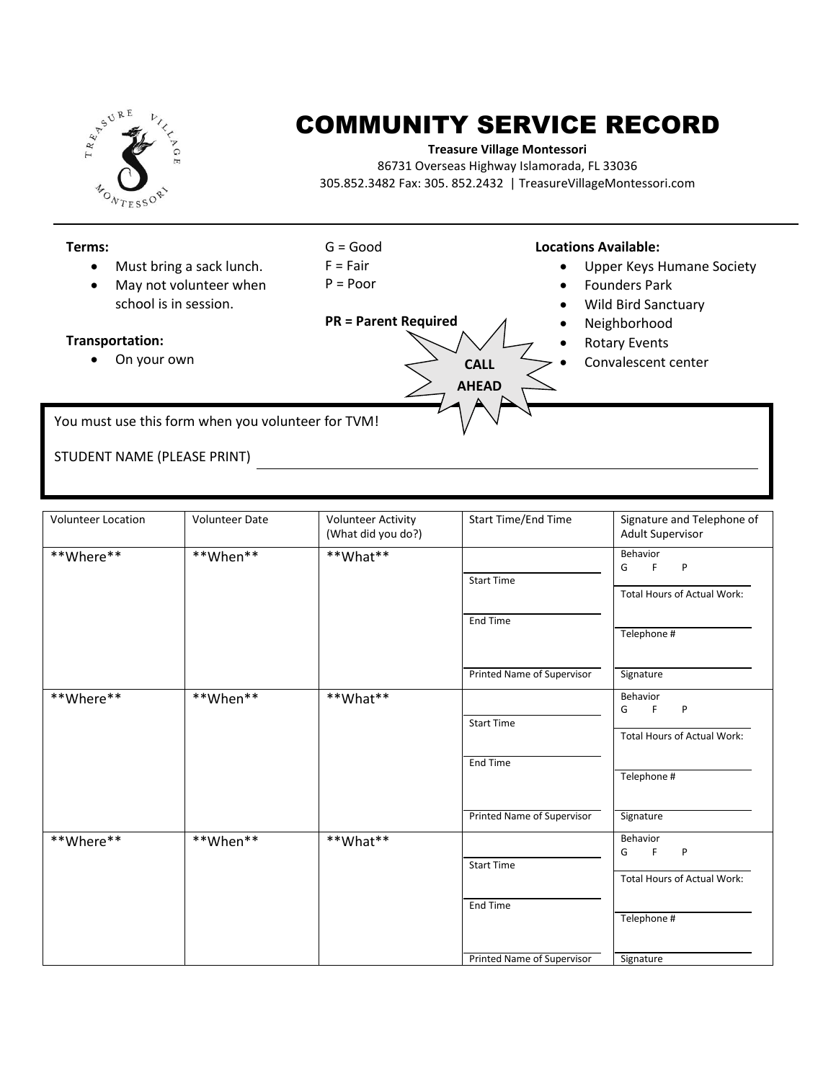

## COMMUNITY SERVICE RECORD

## **Treasure Village Montessori**

86731 Overseas Highway Islamorada, FL 33036 305.852.3482 Fax: 305. 852.2432 | TreasureVillageMontessori.com



| <b>Volunteer Location</b> | <b>Volunteer Date</b> | <b>Volunteer Activity</b><br>(What did you do?) | Start Time/End Time        | Signature and Telephone of<br><b>Adult Supervisor</b>                     |
|---------------------------|-----------------------|-------------------------------------------------|----------------------------|---------------------------------------------------------------------------|
| **Where**                 | **When**              | **What**                                        | <b>Start Time</b>          | Behavior<br>F.<br>$\mathsf{P}$<br>G<br><b>Total Hours of Actual Work:</b> |
|                           |                       |                                                 | End Time                   | Telephone #                                                               |
|                           |                       |                                                 | Printed Name of Supervisor | Signature                                                                 |
| **Where**                 | **When**              | **What**                                        | <b>Start Time</b>          | Behavior<br>F.<br>P<br>G<br>Total Hours of Actual Work:                   |
|                           |                       |                                                 | <b>End Time</b>            | Telephone #                                                               |
|                           |                       |                                                 | Printed Name of Supervisor | Signature                                                                 |
| **Where**                 | **When**              | **What**                                        | <b>Start Time</b>          | Behavior<br>F<br>G<br>P                                                   |
|                           |                       |                                                 | End Time                   | <b>Total Hours of Actual Work:</b>                                        |
|                           |                       |                                                 | Printed Name of Supervisor | Telephone #<br>Signature                                                  |